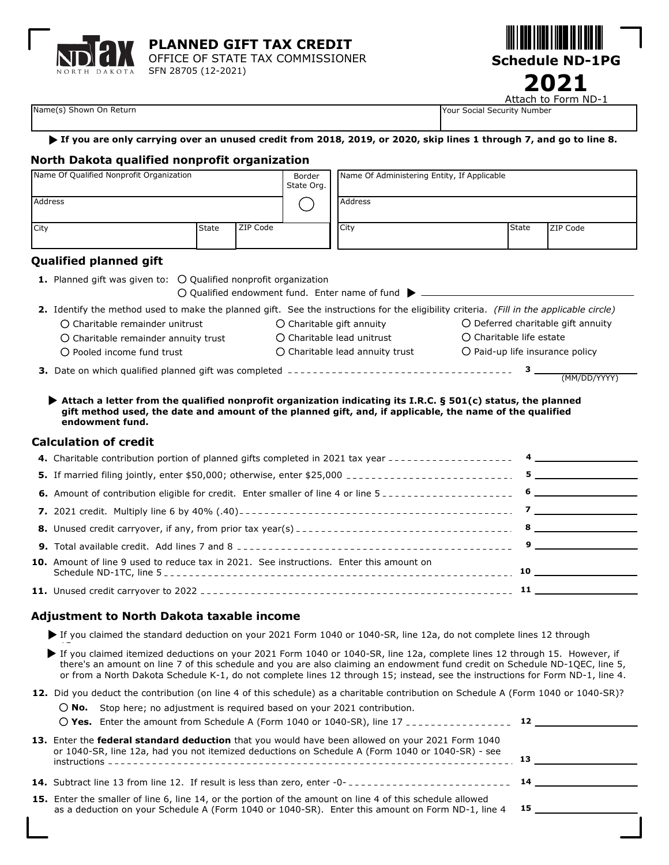

**PLANNED GIFT TAX CREDIT** OFFICE OF STATE TAX COMMISSIONER

SFN 28705 (12-2021)



Attach to Form ND-1

Name(s) Shown On Return **Name is a struck of the Control of Science Control of Science Control of Science Control of Science Control of Number of Number of Science Control of Number of Science Control of Number of Science** 

#### **If you are only carrying over an unused credit from 2018, 2019, or 2020, skip lines 1 through 7, and go to line 8.**

#### **North Dakota qualified nonprofit organization**

| Name Of Qualified Nonprofit Organization                                                                                                                                                                                                       |       |          | Border<br>State Org.                                                            | Name Of Administering Entity, If Applicable |  |                                                                      |                                                                                                                                                                                                                                                                                                                                    |  |
|------------------------------------------------------------------------------------------------------------------------------------------------------------------------------------------------------------------------------------------------|-------|----------|---------------------------------------------------------------------------------|---------------------------------------------|--|----------------------------------------------------------------------|------------------------------------------------------------------------------------------------------------------------------------------------------------------------------------------------------------------------------------------------------------------------------------------------------------------------------------|--|
| Address                                                                                                                                                                                                                                        |       |          |                                                                                 | <b>Address</b>                              |  |                                                                      |                                                                                                                                                                                                                                                                                                                                    |  |
| City                                                                                                                                                                                                                                           | State | ZIP Code |                                                                                 | City                                        |  | State                                                                | ZIP Code                                                                                                                                                                                                                                                                                                                           |  |
| <b>Qualified planned gift</b>                                                                                                                                                                                                                  |       |          |                                                                                 |                                             |  |                                                                      |                                                                                                                                                                                                                                                                                                                                    |  |
| <b>1.</b> Planned gift was given to: $\bigcirc$ Qualified nonprofit organization                                                                                                                                                               |       |          |                                                                                 |                                             |  |                                                                      |                                                                                                                                                                                                                                                                                                                                    |  |
| 2. Identify the method used to make the planned gift. See the instructions for the eligibility criteria. (Fill in the applicable circle)                                                                                                       |       |          |                                                                                 |                                             |  |                                                                      |                                                                                                                                                                                                                                                                                                                                    |  |
| $\bigcap$ Charitable remainder unitrust                                                                                                                                                                                                        |       |          | $\bigcirc$ Charitable gift annuity                                              |                                             |  | ○ Deferred charitable gift annuity                                   |                                                                                                                                                                                                                                                                                                                                    |  |
| O Charitable remainder annuity trust<br>$\bigcirc$ Pooled income fund trust                                                                                                                                                                    |       |          | $\bigcirc$ Charitable lead unitrust<br>$\bigcirc$ Charitable lead annuity trust |                                             |  | O Charitable life estate<br>$\bigcirc$ Paid-up life insurance policy |                                                                                                                                                                                                                                                                                                                                    |  |
|                                                                                                                                                                                                                                                |       |          |                                                                                 |                                             |  |                                                                      |                                                                                                                                                                                                                                                                                                                                    |  |
|                                                                                                                                                                                                                                                |       |          |                                                                                 |                                             |  |                                                                      |                                                                                                                                                                                                                                                                                                                                    |  |
|                                                                                                                                                                                                                                                |       |          |                                                                                 |                                             |  |                                                                      |                                                                                                                                                                                                                                                                                                                                    |  |
| Attach a letter from the qualified nonprofit organization indicating its I.R.C. $\S$ 501(c) status, the planned<br>gift method used, the date and amount of the planned gift, and, if applicable, the name of the qualified<br>endowment fund. |       |          |                                                                                 |                                             |  |                                                                      |                                                                                                                                                                                                                                                                                                                                    |  |
| <b>Calculation of credit</b>                                                                                                                                                                                                                   |       |          |                                                                                 |                                             |  |                                                                      |                                                                                                                                                                                                                                                                                                                                    |  |
| 4. Charitable contribution portion of planned gifts completed in 2021 tax year -------------------                                                                                                                                             |       |          |                                                                                 |                                             |  |                                                                      | $\overline{4}$ and $\overline{4}$ and $\overline{4}$ and $\overline{4}$ and $\overline{4}$ and $\overline{4}$ and $\overline{4}$ and $\overline{4}$ and $\overline{4}$ and $\overline{4}$ and $\overline{4}$ and $\overline{4}$ and $\overline{4}$ and $\overline{4}$ and $\overline{4}$ and $\overline{4}$ and $\overline{4}$ and |  |
|                                                                                                                                                                                                                                                |       |          |                                                                                 |                                             |  |                                                                      |                                                                                                                                                                                                                                                                                                                                    |  |
|                                                                                                                                                                                                                                                |       |          |                                                                                 |                                             |  |                                                                      |                                                                                                                                                                                                                                                                                                                                    |  |
|                                                                                                                                                                                                                                                |       |          |                                                                                 |                                             |  |                                                                      |                                                                                                                                                                                                                                                                                                                                    |  |
|                                                                                                                                                                                                                                                |       |          |                                                                                 |                                             |  |                                                                      | $8 \overline{3}$                                                                                                                                                                                                                                                                                                                   |  |
|                                                                                                                                                                                                                                                |       |          |                                                                                 |                                             |  |                                                                      |                                                                                                                                                                                                                                                                                                                                    |  |
| 10. Amount of line 9 used to reduce tax in 2021. See instructions. Enter this amount on                                                                                                                                                        |       |          |                                                                                 |                                             |  |                                                                      |                                                                                                                                                                                                                                                                                                                                    |  |

#### **Adjustment to North Dakota taxable income**

- If you claimed the standard deduction on your 2021 Form 1040 or 1040-SR, line 12a, do not complete lines 12 through
- If you claimed itemized deductions on your 2021 Form 1040 or 1040-SR, line 12a, complete lines 12 through 15. However, if there's an amount on line 7 of this schedule and you are also claiming an endowment fund credit on Schedule ND-1QEC, line 5, or from a North Dakota Schedule K-1, do not complete lines 12 through 15; instead, see the instructions for Form ND-1, line 4.
- **12.** Did you deduct the contribution (on line 4 of this schedule) as a charitable contribution on Schedule A (Form 1040 or 1040-SR)?

|  | $\bigcirc$ No. Stop here; no adjustment is required based on your 2021 contribution.                                                                                                                                       |                                                                                                                                                                                                                              |
|--|----------------------------------------------------------------------------------------------------------------------------------------------------------------------------------------------------------------------------|------------------------------------------------------------------------------------------------------------------------------------------------------------------------------------------------------------------------------|
|  | $\bigcirc$ Yes. Enter the amount from Schedule A (Form 1040 or 1040-SR), line 17 ________________                                                                                                                          | $12$ and $12$ and $12$ and $12$ and $12$ and $12$ and $12$ and $12$ and $12$ and $12$ and $12$ and $12$ and $12$ and $12$ and $12$ and $12$ and $12$ and $12$ and $12$ and $12$ and $12$ and $12$ and $12$ and $12$ and $12$ |
|  | 13. Enter the federal standard deduction that you would have been allowed on your 2021 Form 1040<br>or 1040-SR, line 12a, had you not itemized deductions on Schedule A (Form 1040 or 1040-SR) - see                       |                                                                                                                                                                                                                              |
|  |                                                                                                                                                                                                                            |                                                                                                                                                                                                                              |
|  | 15. Enter the smaller of line 6, line 14, or the portion of the amount on line 4 of this schedule allowed<br>as a deduction on your Schedule A (Form 1040 or 1040-SR). Enter this amount on Form ND-1, line 4 $\,$ 15 $\,$ |                                                                                                                                                                                                                              |
|  |                                                                                                                                                                                                                            |                                                                                                                                                                                                                              |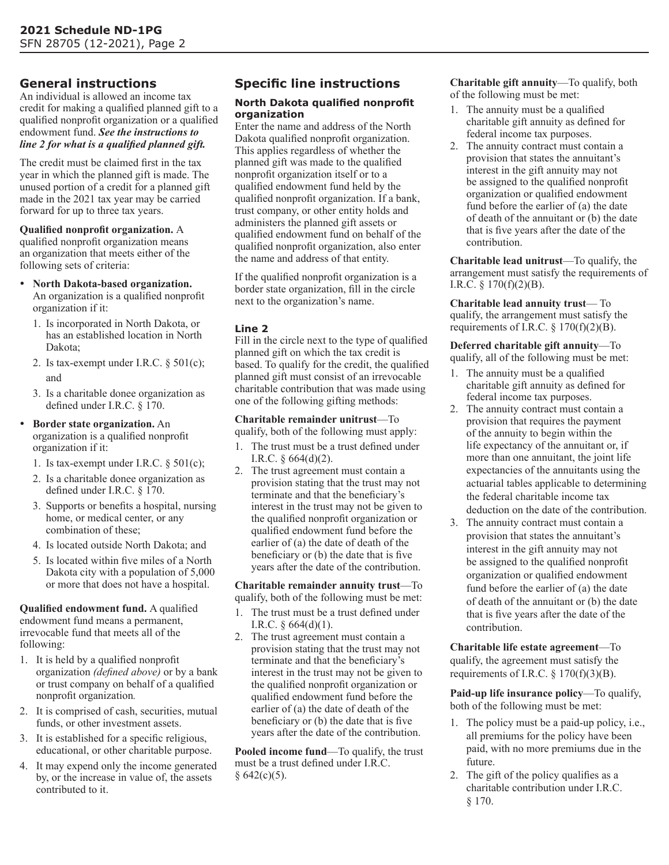# **General instructions**

An individual is allowed an income tax credit for making a qualified planned gift to a qualified nonprofit organization or a qualified endowment fund. *See the instructions to line 2 for what is a qualified planned gift.*

The credit must be claimed first in the tax year in which the planned gift is made. The unused portion of a credit for a planned gift made in the 2021 tax year may be carried forward for up to three tax years.

# **Qualified nonprofit organization.** A

qualified nonprofit organization means an organization that meets either of the following sets of criteria:

- **North Dakota-based organization.** An organization is a qualified nonprofit organization if it:
	- 1. Is incorporated in North Dakota, or has an established location in North Dakota;
	- 2. Is tax-exempt under I.R.C. § 501(c); and
	- 3. Is a charitable donee organization as defined under I.R.C. § 170.
- **Border state organization.** An organization is a qualified nonprofit organization if it:
	- 1. Is tax-exempt under I.R.C. § 501(c);
	- 2. Is a charitable donee organization as defined under I.R.C. § 170.
	- 3. Supports or benefits a hospital, nursing home, or medical center, or any combination of these;
	- 4. Is located outside North Dakota; and
	- 5. Is located within five miles of a North Dakota city with a population of 5,000 or more that does not have a hospital.

**Qualified endowment fund.** A qualified endowment fund means a permanent, irrevocable fund that meets all of the following:

- 1. It is held by a qualified nonprofit organization *(defined above)* or by a bank or trust company on behalf of a qualified nonprofit organization*.*
- 2. It is comprised of cash, securities, mutual funds, or other investment assets.
- 3. It is established for a specific religious, educational, or other charitable purpose.
- 4. It may expend only the income generated by, or the increase in value of, the assets contributed to it.

# **Specific line instructions**

#### **North Dakota qualified nonprofit organization**

Enter the name and address of the North Dakota qualified nonprofit organization. This applies regardless of whether the planned gift was made to the qualified nonprofit organization itself or to a qualified endowment fund held by the qualified nonprofit organization. If a bank, trust company, or other entity holds and administers the planned gift assets or qualified endowment fund on behalf of the qualified nonprofit organization, also enter the name and address of that entity.

If the qualified nonprofit organization is a border state organization, fill in the circle next to the organization's name.

### **Line 2**

Fill in the circle next to the type of qualified planned gift on which the tax credit is based. To qualify for the credit, the qualified planned gift must consist of an irrevocable charitable contribution that was made using one of the following gifting methods:

**Charitable remainder unitrust**—To qualify, both of the following must apply:

- 1. The trust must be a trust defined under
- I.R.C. § 664(d)(2).
- 2. The trust agreement must contain a provision stating that the trust may not terminate and that the beneficiary's interest in the trust may not be given to the qualified nonprofit organization or qualified endowment fund before the earlier of (a) the date of death of the beneficiary or (b) the date that is five years after the date of the contribution.

**Charitable remainder annuity trust**—To qualify, both of the following must be met:

- 1. The trust must be a trust defined under I.R.C.  $§$  664(d)(1).
- 2. The trust agreement must contain a provision stating that the trust may not terminate and that the beneficiary's interest in the trust may not be given to the qualified nonprofit organization or qualified endowment fund before the earlier of (a) the date of death of the beneficiary or (b) the date that is five years after the date of the contribution.

**Pooled income fund**—To qualify, the trust must be a trust defined under I.R.C.  $§ 642(c)(5).$ 

**Charitable gift annuity**—To qualify, both of the following must be met:

- 1. The annuity must be a qualified charitable gift annuity as defined for federal income tax purposes.
- 2. The annuity contract must contain a provision that states the annuitant's interest in the gift annuity may not be assigned to the qualified nonprofit organization or qualified endowment fund before the earlier of (a) the date of death of the annuitant or (b) the date that is five years after the date of the contribution.

**Charitable lead unitrust**—To qualify, the arrangement must satisfy the requirements of I.R.C.  $\S 170(f)(2)(B)$ .

**Charitable lead annuity trust**— To qualify, the arrangement must satisfy the requirements of I.R.C.  $\S 170(f)(2)(B)$ .

**Deferred charitable gift annuity**—To qualify, all of the following must be met:

- 1. The annuity must be a qualified charitable gift annuity as defined for federal income tax purposes.
- 2. The annuity contract must contain a provision that requires the payment of the annuity to begin within the life expectancy of the annuitant or, if more than one annuitant, the joint life expectancies of the annuitants using the actuarial tables applicable to determining the federal charitable income tax deduction on the date of the contribution.
- 3. The annuity contract must contain a provision that states the annuitant's interest in the gift annuity may not be assigned to the qualified nonprofit organization or qualified endowment fund before the earlier of (a) the date of death of the annuitant or (b) the date that is five years after the date of the contribution.

**Charitable life estate agreement**—To qualify, the agreement must satisfy the requirements of I.R.C.  $\S 170(f)(3)(B)$ .

**Paid-up life insurance policy**—To qualify, both of the following must be met:

- 1. The policy must be a paid-up policy, i.e., all premiums for the policy have been paid, with no more premiums due in the future.
- 2. The gift of the policy qualifies as a charitable contribution under I.R.C. § 170.